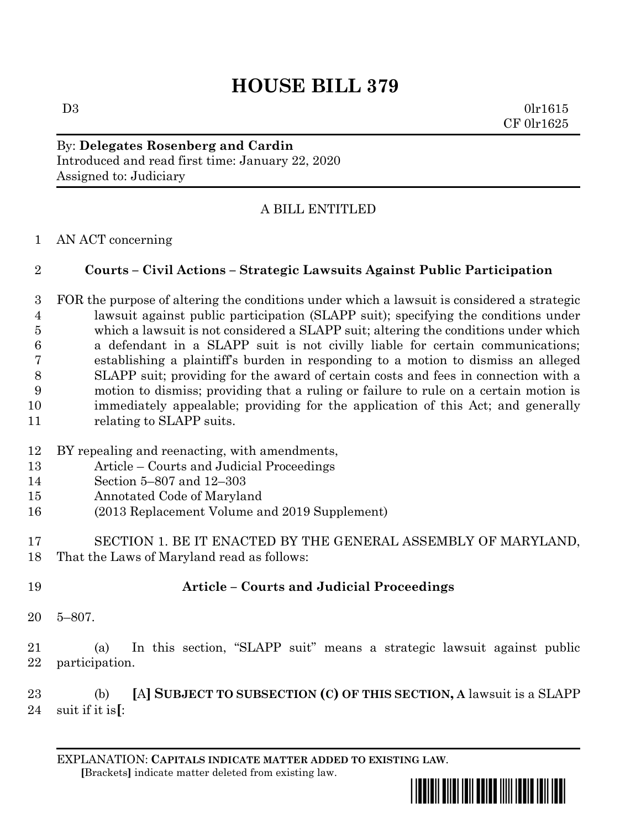# **HOUSE BILL 379**

 $D3$  0lr1615 CF 0lr1625

By: **Delegates Rosenberg and Cardin** Introduced and read first time: January 22, 2020 Assigned to: Judiciary

## A BILL ENTITLED

AN ACT concerning

### **Courts – Civil Actions – Strategic Lawsuits Against Public Participation**

- FOR the purpose of altering the conditions under which a lawsuit is considered a strategic lawsuit against public participation (SLAPP suit); specifying the conditions under which a lawsuit is not considered a SLAPP suit; altering the conditions under which a defendant in a SLAPP suit is not civilly liable for certain communications; establishing a plaintiff's burden in responding to a motion to dismiss an alleged SLAPP suit; providing for the award of certain costs and fees in connection with a motion to dismiss; providing that a ruling or failure to rule on a certain motion is immediately appealable; providing for the application of this Act; and generally relating to SLAPP suits.
- BY repealing and reenacting, with amendments,
- Article Courts and Judicial Proceedings
- Section 5–807 and 12–303
- Annotated Code of Maryland
- (2013 Replacement Volume and 2019 Supplement)
- SECTION 1. BE IT ENACTED BY THE GENERAL ASSEMBLY OF MARYLAND, That the Laws of Maryland read as follows:
- **Article – Courts and Judicial Proceedings**
- 5–807.
- (a) In this section, "SLAPP suit" means a strategic lawsuit against public participation.

 (b) **[**A**] SUBJECT TO SUBSECTION (C) OF THIS SECTION, A** lawsuit is a SLAPP suit if it is**[**:

EXPLANATION: **CAPITALS INDICATE MATTER ADDED TO EXISTING LAW**.  **[**Brackets**]** indicate matter deleted from existing law.

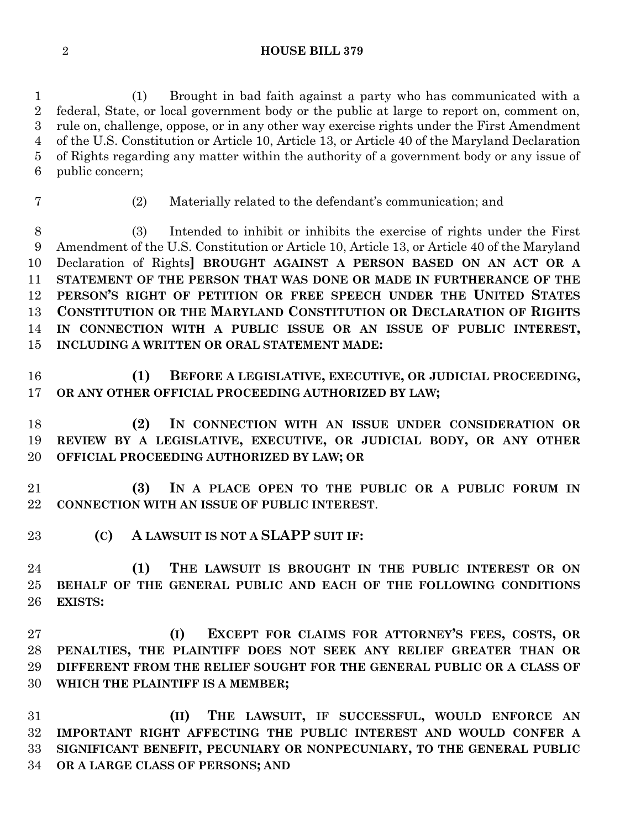**HOUSE BILL 379**

 (1) Brought in bad faith against a party who has communicated with a federal, State, or local government body or the public at large to report on, comment on, rule on, challenge, oppose, or in any other way exercise rights under the First Amendment of the U.S. Constitution or Article 10, Article 13, or Article 40 of the Maryland Declaration of Rights regarding any matter within the authority of a government body or any issue of public concern;

- 
- (2) Materially related to the defendant's communication; and

 (3) Intended to inhibit or inhibits the exercise of rights under the First Amendment of the U.S. Constitution or Article 10, Article 13, or Article 40 of the Maryland Declaration of Rights**] BROUGHT AGAINST A PERSON BASED ON AN ACT OR A STATEMENT OF THE PERSON THAT WAS DONE OR MADE IN FURTHERANCE OF THE PERSON'S RIGHT OF PETITION OR FREE SPEECH UNDER THE UNITED STATES CONSTITUTION OR THE MARYLAND CONSTITUTION OR DECLARATION OF RIGHTS IN CONNECTION WITH A PUBLIC ISSUE OR AN ISSUE OF PUBLIC INTEREST, INCLUDING A WRITTEN OR ORAL STATEMENT MADE:**

- **(1) BEFORE A LEGISLATIVE, EXECUTIVE, OR JUDICIAL PROCEEDING, OR ANY OTHER OFFICIAL PROCEEDING AUTHORIZED BY LAW;**
- **(2) IN CONNECTION WITH AN ISSUE UNDER CONSIDERATION OR REVIEW BY A LEGISLATIVE, EXECUTIVE, OR JUDICIAL BODY, OR ANY OTHER OFFICIAL PROCEEDING AUTHORIZED BY LAW; OR**
- **(3) IN A PLACE OPEN TO THE PUBLIC OR A PUBLIC FORUM IN CONNECTION WITH AN ISSUE OF PUBLIC INTEREST**.
- **(C) A LAWSUIT IS NOT A SLAPP SUIT IF:**
- **(1) THE LAWSUIT IS BROUGHT IN THE PUBLIC INTEREST OR ON BEHALF OF THE GENERAL PUBLIC AND EACH OF THE FOLLOWING CONDITIONS EXISTS:**
- **(I) EXCEPT FOR CLAIMS FOR ATTORNEY'S FEES, COSTS, OR PENALTIES, THE PLAINTIFF DOES NOT SEEK ANY RELIEF GREATER THAN OR DIFFERENT FROM THE RELIEF SOUGHT FOR THE GENERAL PUBLIC OR A CLASS OF WHICH THE PLAINTIFF IS A MEMBER;**

 **(II) THE LAWSUIT, IF SUCCESSFUL, WOULD ENFORCE AN IMPORTANT RIGHT AFFECTING THE PUBLIC INTEREST AND WOULD CONFER A SIGNIFICANT BENEFIT, PECUNIARY OR NONPECUNIARY, TO THE GENERAL PUBLIC OR A LARGE CLASS OF PERSONS; AND**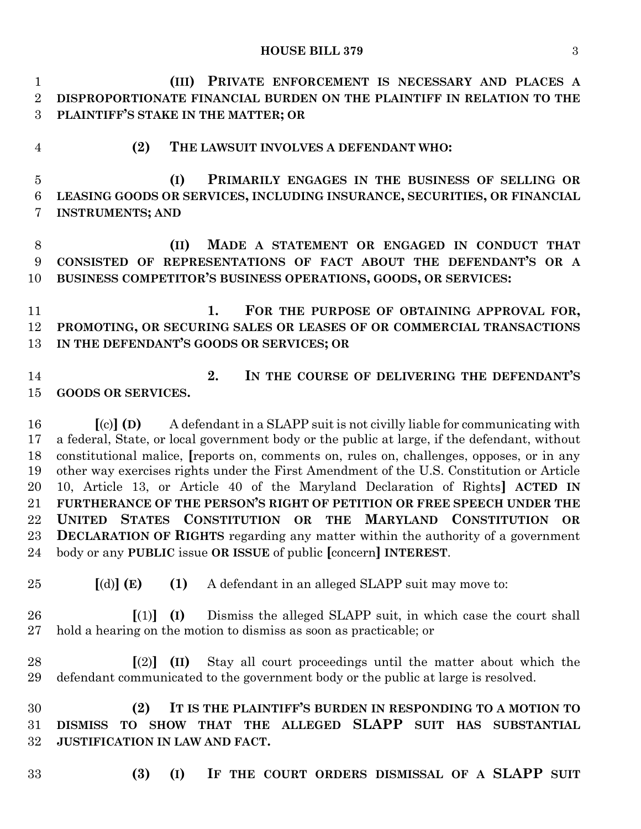**(III) PRIVATE ENFORCEMENT IS NECESSARY AND PLACES A DISPROPORTIONATE FINANCIAL BURDEN ON THE PLAINTIFF IN RELATION TO THE PLAINTIFF'S STAKE IN THE MATTER; OR (2) THE LAWSUIT INVOLVES A DEFENDANT WHO: (I) PRIMARILY ENGAGES IN THE BUSINESS OF SELLING OR LEASING GOODS OR SERVICES, INCLUDING INSURANCE, SECURITIES, OR FINANCIAL INSTRUMENTS; AND**

 **(II) MADE A STATEMENT OR ENGAGED IN CONDUCT THAT CONSISTED OF REPRESENTATIONS OF FACT ABOUT THE DEFENDANT'S OR A BUSINESS COMPETITOR'S BUSINESS OPERATIONS, GOODS, OR SERVICES:**

 **1. FOR THE PURPOSE OF OBTAINING APPROVAL FOR, PROMOTING, OR SECURING SALES OR LEASES OF OR COMMERCIAL TRANSACTIONS IN THE DEFENDANT'S GOODS OR SERVICES; OR** 

- 
- **2. IN THE COURSE OF DELIVERING THE DEFENDANT'S GOODS OR SERVICES.**

 **[**(c)**] (D)** A defendant in a SLAPP suit is not civilly liable for communicating with a federal, State, or local government body or the public at large, if the defendant, without constitutional malice, **[**reports on, comments on, rules on, challenges, opposes, or in any other way exercises rights under the First Amendment of the U.S. Constitution or Article 10, Article 13, or Article 40 of the Maryland Declaration of Rights**] ACTED IN FURTHERANCE OF THE PERSON'S RIGHT OF PETITION OR FREE SPEECH UNDER THE UNITED STATES CONSTITUTION OR THE MARYLAND CONSTITUTION OR DECLARATION OF RIGHTS** regarding any matter within the authority of a government body or any **PUBLIC** issue **OR ISSUE** of public **[**concern**] INTEREST**.

- **[**(d)**] (E) (1)** A defendant in an alleged SLAPP suit may move to:
- **[**(1)**] (I)** Dismiss the alleged SLAPP suit, in which case the court shall hold a hearing on the motion to dismiss as soon as practicable; or
- **[**(2)**] (II)** Stay all court proceedings until the matter about which the defendant communicated to the government body or the public at large is resolved.

 **(2) IT IS THE PLAINTIFF'S BURDEN IN RESPONDING TO A MOTION TO DISMISS TO SHOW THAT THE ALLEGED SLAPP SUIT HAS SUBSTANTIAL JUSTIFICATION IN LAW AND FACT.**

- 
- **(3) (I) IF THE COURT ORDERS DISMISSAL OF A SLAPP SUIT**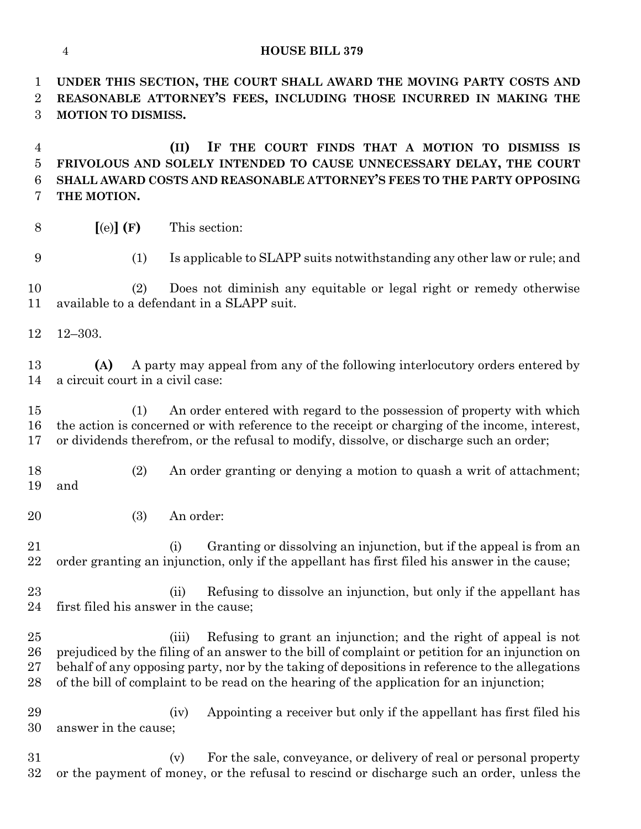#### **HOUSE BILL 379**

 **UNDER THIS SECTION, THE COURT SHALL AWARD THE MOVING PARTY COSTS AND REASONABLE ATTORNEY'S FEES, INCLUDING THOSE INCURRED IN MAKING THE MOTION TO DISMISS.**

 **(II) IF THE COURT FINDS THAT A MOTION TO DISMISS IS FRIVOLOUS AND SOLELY INTENDED TO CAUSE UNNECESSARY DELAY, THE COURT SHALL AWARD COSTS AND REASONABLE ATTORNEY'S FEES TO THE PARTY OPPOSING THE MOTION.**

- **[**(e)**] (F)** This section:
- 

(1) Is applicable to SLAPP suits notwithstanding any other law or rule; and

 (2) Does not diminish any equitable or legal right or remedy otherwise available to a defendant in a SLAPP suit.

12–303.

 **(A)** A party may appeal from any of the following interlocutory orders entered by a circuit court in a civil case:

 (1) An order entered with regard to the possession of property with which the action is concerned or with reference to the receipt or charging of the income, interest, or dividends therefrom, or the refusal to modify, dissolve, or discharge such an order;

- (2) An order granting or denying a motion to quash a writ of attachment; and
- (3) An order:

21 (i) Granting or dissolving an injunction, but if the appeal is from an order granting an injunction, only if the appellant has first filed his answer in the cause;

23 (ii) Refusing to dissolve an injunction, but only if the appellant has first filed his answer in the cause;

 (iii) Refusing to grant an injunction; and the right of appeal is not prejudiced by the filing of an answer to the bill of complaint or petition for an injunction on behalf of any opposing party, nor by the taking of depositions in reference to the allegations of the bill of complaint to be read on the hearing of the application for an injunction;

 (iv) Appointing a receiver but only if the appellant has first filed his answer in the cause;

 (v) For the sale, conveyance, or delivery of real or personal property or the payment of money, or the refusal to rescind or discharge such an order, unless the